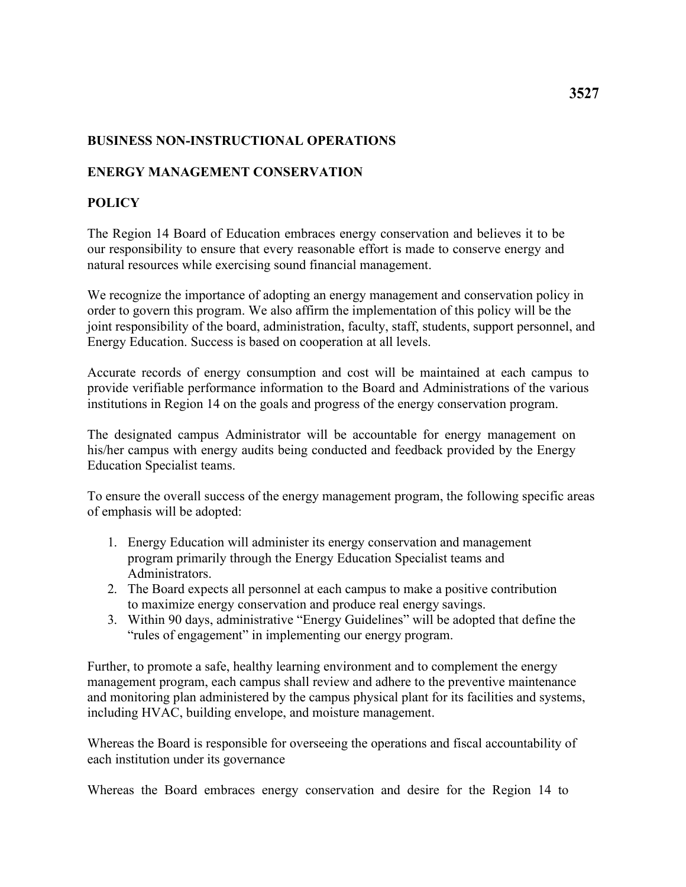## **BUSINESS NON-INSTRUCTIONAL OPERATIONS**

## **ENERGY MANAGEMENT CONSERVATION**

## **POLICY**

 our responsibility to ensure that every reasonable effort is made to conserve energy and The Region 14 Board of Education embraces energy conservation and believes it to be natural resources while exercising sound financial management.

We recognize the importance of adopting an energy management and conservation policy in order to govern this program. We also affirm the implementation of this policy will be the joint responsibility of the board, administration, faculty, staff, students, support personnel, and Energy Education. Success is based on cooperation at all levels.

Accurate records of energy consumption and cost will be maintained at each campus to provide verifiable performance information to the Board and Administrations of the various institutions in Region 14 on the goals and progress of the energy conservation program.

The designated campus Administrator will be accountable for energy management on his/her campus with energy audits being conducted and feedback provided by the Energy Education Specialist teams.

To ensure the overall success of the energy management program, the following specific areas of emphasis will be adopted:

- 1. Energy Education will administer its energy conservation and management program primarily through the Energy Education Specialist teams and Administrators.
- to maximize energy conservation and produce real energy savings. 2. The Board expects all personnel at each campus to make a positive contribution
- "rules of engagement" in implementing our energy program. 3. Within 90 days, administrative "Energy Guidelines" will be adopted that define the

Further, to promote a safe, healthy learning environment and to complement the energy management program, each campus shall review and adhere to the preventive maintenance and monitoring plan administered by the campus physical plant for its facilities and systems, including HVAC, building envelope, and moisture management.

Whereas the Board is responsible for overseeing the operations and fiscal accountability of each institution under its governance

Whereas the Board embraces energy conservation and desire for the Region 14 to